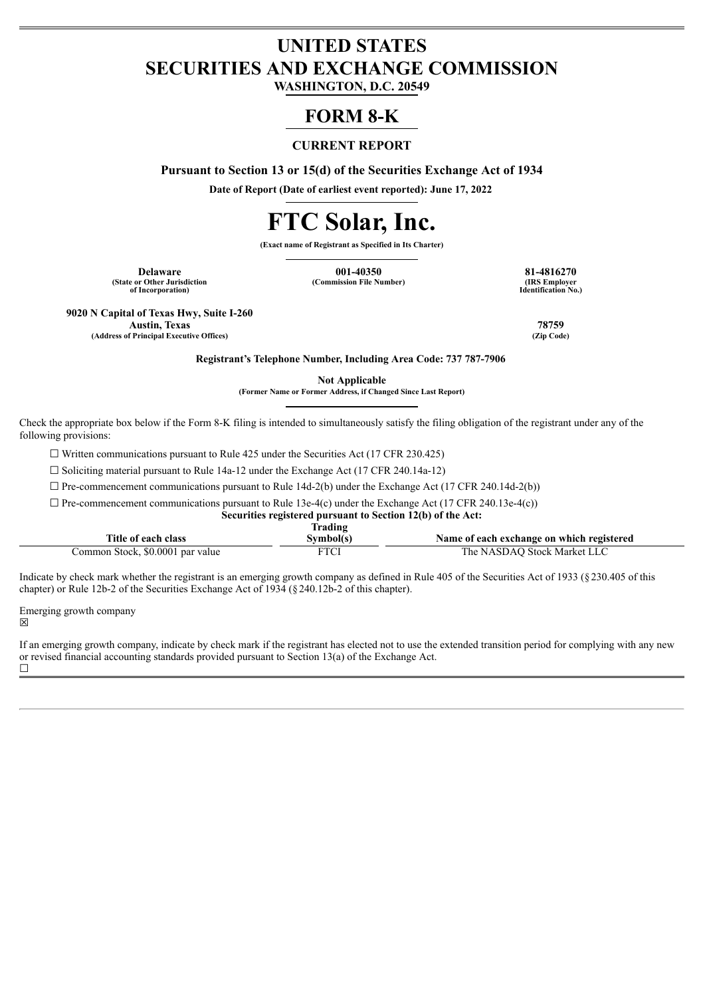# **UNITED STATES SECURITIES AND EXCHANGE COMMISSION**

**WASHINGTON, D.C. 20549**

## **FORM 8-K**

## **CURRENT REPORT**

**Pursuant to Section 13 or 15(d) of the Securities Exchange Act of 1934**

**Date of Report (Date of earliest event reported): June 17, 2022**

# **FTC Solar, Inc.**

**(Exact name of Registrant as Specified in Its Charter)**

**(State or Other Jurisdiction of Incorporation)**

**Delaware 001-40350 81-4816270 (Commission File Number)** 

**Identification No.)**

**9020 N Capital of Texas Hwy, Suite I-260 Austin, Texas 78759**

**(Address of Principal Executive Offices)** 

**Registrant's Telephone Number, Including Area Code: 737 787-7906**

**Not Applicable**

**(Former Name or Former Address, if Changed Since Last Report)**

Check the appropriate box below if the Form 8-K filing is intended to simultaneously satisfy the filing obligation of the registrant under any of the following provisions:

 $\Box$  Written communications pursuant to Rule 425 under the Securities Act (17 CFR 230.425)

☐ Soliciting material pursuant to Rule 14a-12 under the Exchange Act (17 CFR 240.14a-12)

 $\Box$  Pre-commencement communications pursuant to Rule 14d-2(b) under the Exchange Act (17 CFR 240.14d-2(b))

 $\Box$  Pre-commencement communications pursuant to Rule 13e-4(c) under the Exchange Act (17 CFR 240.13e-4(c))

**Securities registered pursuant to Section 12(b) of the Act:**

|                                  | Trading   |                                           |
|----------------------------------|-----------|-------------------------------------------|
| Title of each class              | Svmbol(s) | Name of each exchange on which registered |
| Common Stock, \$0.0001 par value | FTCI      | The NASDAO Stock Market LLC               |

Indicate by check mark whether the registrant is an emerging growth company as defined in Rule 405 of the Securities Act of 1933 (§230.405 of this chapter) or Rule 12b-2 of the Securities Exchange Act of 1934 (§ 240.12b-2 of this chapter).

Emerging growth company ☒

If an emerging growth company, indicate by check mark if the registrant has elected not to use the extended transition period for complying with any new or revised financial accounting standards provided pursuant to Section 13(a) of the Exchange Act.  $\Box$